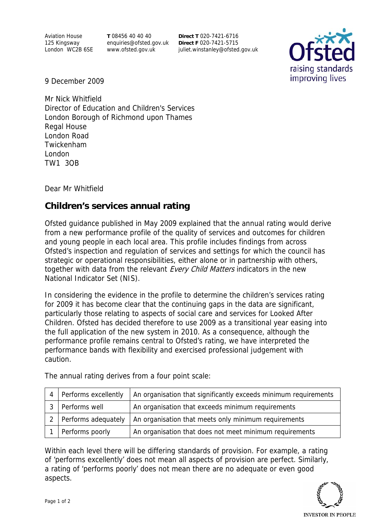Aviation House 125 Kingsway London WC2B 6SE **T** 08456 40 40 40 enquiries@ofsted.gov.uk www.ofsted.gov.uk

**Direct T** 020-7421-6716 **Direct F** 020-7421-5715 juliet.winstanley@ofsted.gov.uk



9 December 2009

Mr Nick Whitfield Director of Education and Children's Services London Borough of Richmond upon Thames Regal House London Road Twickenham London TW1 3QB

Dear Mr Whitfield

## **Children's services annual rating**

Ofsted guidance published in May 2009 explained that the annual rating would derive from a new performance profile of the quality of services and outcomes for children and young people in each local area. This profile includes findings from across Ofsted's inspection and regulation of services and settings for which the council has strategic or operational responsibilities, either alone or in partnership with others, together with data from the relevant Every Child Matters indicators in the new National Indicator Set (NIS).

In considering the evidence in the profile to determine the children's services rating for 2009 it has become clear that the continuing gaps in the data are significant, particularly those relating to aspects of social care and services for Looked After Children. Ofsted has decided therefore to use 2009 as a transitional year easing into the full application of the new system in 2010. As a consequence, although the performance profile remains central to Ofsted's rating, we have interpreted the performance bands with flexibility and exercised professional judgement with caution.

 $4$  Performs excellently  $\vert$  An organisation that significantly exceeds minimum requirements 3 Performs well An organisation that exceeds minimum requirements 2 Performs adequately  $\vert$  An organisation that meets only minimum requirements 1 Performs poorly An organisation that does not meet minimum requirements

The annual rating derives from a four point scale:

Within each level there will be differing standards of provision. For example, a rating of 'performs excellently' does not mean all aspects of provision are perfect. Similarly, a rating of 'performs poorly' does not mean there are no adequate or even good aspects.